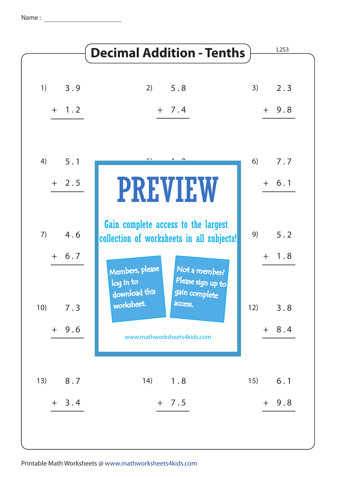